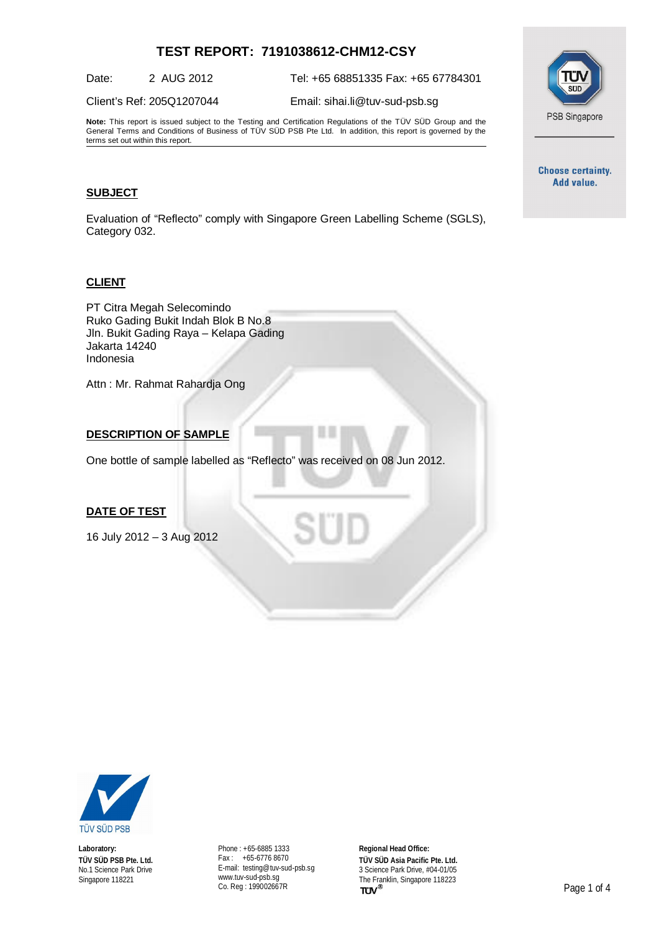# **TEST REPORT: 7191038612-CHM12-CSY**

Date: 2 AUG 2012 Tel: +65 68851335 Fax: +65 67784301

Client's Ref: 205Q1207044 Email: [sihai.li@tuv-sud-psb.sg](mailto:sihai.li@tuv-sud-psb.sg)

**Note:** This report is issued subject to the Testing and Certification Regulations of the TÜV SÜD Group and the General Terms and Conditions of Business of TÜV SÜD PSB Pte Ltd. In addition, this report is governed by the terms set out within this report.

### **SUBJECT**

Evaluation of "Reflecto" comply with Singapore Green Labelling Scheme (SGLS), Category 032.

#### **CLIENT**

PT Citra Megah Selecomindo Ruko Gading Bukit Indah Blok B No.8 Jln. Bukit Gading Raya – Kelapa Gading Jakarta 14240 Indonesia

Attn : Mr. Rahmat Rahardja Ong

### **DESCRIPTION OF SAMPLE**

One bottle of sample labelled as "Reflecto" was received on 08 Jun 2012.

#### **DATE OF TEST**

16 July 2012 – 3 Aug 2012



**Laboratory: TÜV SÜD PSB Pte. Ltd.** No.1 Science Park Drive Singapore 118221

Phone : +65-6885 1333 Fax : +65-6776 8670 E-mail: [testing@tuv-sud-psb.sg](mailto:testing@tuv-sud-psb.sg) [www.tuv-sud-psb.sg](http://www.tuv-sud-psb.sg/) Co. Reg : 199002667R

**Regional Head Office: TÜV SÜD Asia Pacific Pte. Ltd.** 3 Science Park Drive, #04-01/05 The Franklin, Singapore 118223



**Choose certainty.** Add value.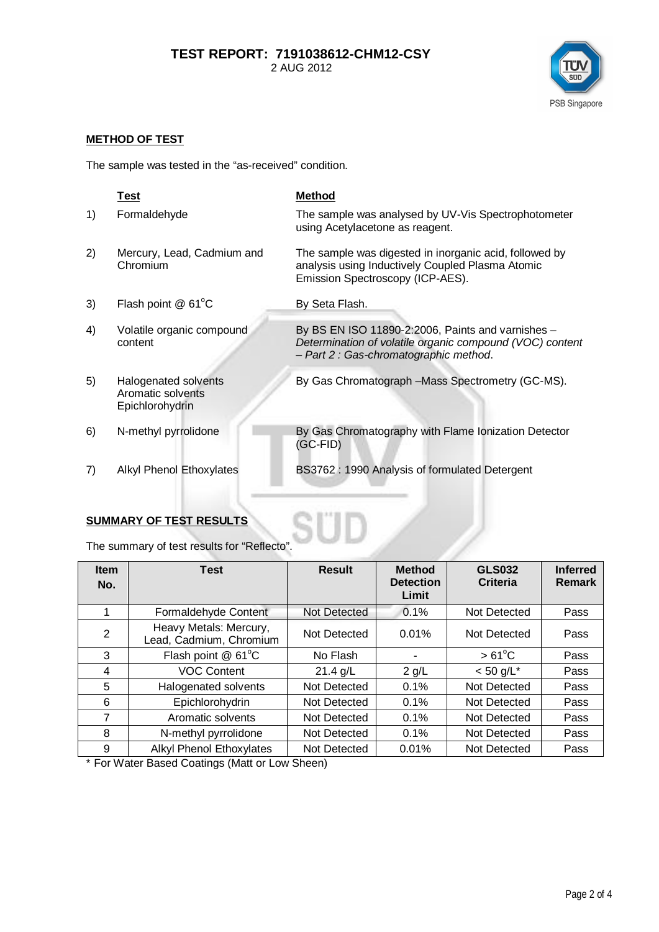## **TEST REPORT: 7191038612-CHM12-CSY** 2 AUG 2012



## **METHOD OF TEST**

The sample was tested in the "as-received" condition.

|    | <b>Test</b>                                                  | <b>Method</b>                                                                                                                                           |
|----|--------------------------------------------------------------|---------------------------------------------------------------------------------------------------------------------------------------------------------|
| 1) | Formaldehyde                                                 | The sample was analysed by UV-Vis Spectrophotometer<br>using Acetylacetone as reagent.                                                                  |
| 2) | Mercury, Lead, Cadmium and<br>Chromium                       | The sample was digested in inorganic acid, followed by<br>analysis using Inductively Coupled Plasma Atomic<br>Emission Spectroscopy (ICP-AES).          |
| 3) | Flash point @ 61°C                                           | By Seta Flash.                                                                                                                                          |
| 4) | Volatile organic compound<br>content                         | By BS EN ISO 11890-2:2006, Paints and varnishes -<br>Determination of volatile organic compound (VOC) content<br>- Part 2 : Gas-chromatographic method. |
| 5) | Halogenated solvents<br>Aromatic solvents<br>Epichlorohydrin | By Gas Chromatograph -Mass Spectrometry (GC-MS).                                                                                                        |
| 6) | N-methyl pyrrolidone                                         | By Gas Chromatography with Flame Ionization Detector<br>(GC-FID)                                                                                        |
| 7) | Alkyl Phenol Ethoxylates                                     | BS3762: 1990 Analysis of formulated Detergent                                                                                                           |
|    |                                                              |                                                                                                                                                         |

## **SUMMARY OF TEST RESULTS**

The summary of test results for "Reflecto".

| <b>Item</b><br>No. | <b>Test</b>                                       | <b>Result</b> | <b>Method</b><br><b>Detection</b><br>Limit | <b>GLS032</b><br><b>Criteria</b> | <b>Inferred</b><br><b>Remark</b> |
|--------------------|---------------------------------------------------|---------------|--------------------------------------------|----------------------------------|----------------------------------|
|                    | Formaldehyde Content                              | Not Detected  | 0.1%                                       | Not Detected                     | Pass                             |
| 2                  | Heavy Metals: Mercury,<br>Lead, Cadmium, Chromium | Not Detected  | 0.01%                                      | Not Detected                     | Pass                             |
| 3                  | Flash point @ 61°C                                | No Flash      |                                            | $>61^{\circ}$ C                  | Pass                             |
| 4                  | <b>VOC Content</b>                                | $21.4$ g/L    | $2$ g/L                                    | $< 50$ g/L <sup>*</sup>          | Pass                             |
| 5                  | Halogenated solvents                              | Not Detected  | 0.1%                                       | Not Detected                     | Pass                             |
| 6                  | Epichlorohydrin                                   | Not Detected  | 0.1%                                       | Not Detected                     | Pass                             |
| 7                  | Aromatic solvents                                 | Not Detected  | 0.1%                                       | Not Detected                     | Pass                             |
| 8                  | N-methyl pyrrolidone                              | Not Detected  | 0.1%                                       | Not Detected                     | Pass                             |
| 9                  | Alkyl Phenol Ethoxylates                          | Not Detected  | 0.01%                                      | Not Detected                     | Pass                             |

a di popola

\* For Water Based Coatings (Matt or Low Sheen)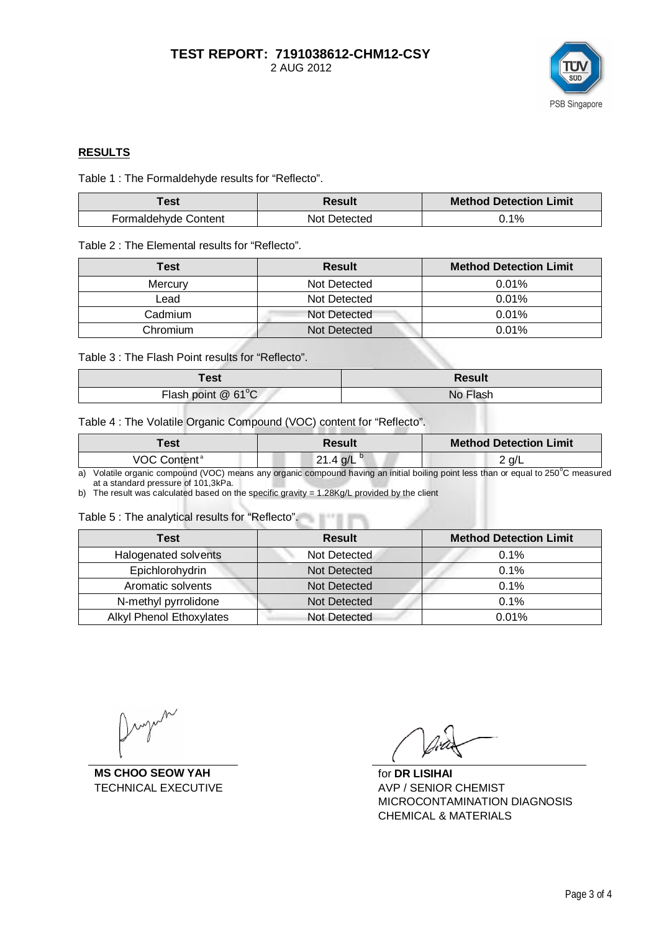

### **RESULTS**

Table 1 : The Formaldehyde results for "Reflecto".

| Test                 | Result       | <b>Method Detection Limit</b> |
|----------------------|--------------|-------------------------------|
| Formaldehyde Content | Not Detected | $0.1\%$                       |

Table 2 : The Elemental results for "Reflecto".

| <b>Test</b> | <b>Result</b> | <b>Method Detection Limit</b> |
|-------------|---------------|-------------------------------|
| Mercury     | Not Detected  | 0.01%                         |
| Lead        | Not Detected  | 0.01%                         |
| Cadmium     | Not Detected  | 0.01%                         |
| Chromium    | Not Detected  | 0.01%                         |

Table 3 : The Flash Point results for "Reflecto".

| Test               | <b>Result</b> |
|--------------------|---------------|
| Flash point @ 61°C | No Flash      |

Table 4 : The Volatile Organic Compound (VOC) content for "Reflecto".

| ™est                         | Result  | <b>Method Detection Limit</b> |
|------------------------------|---------|-------------------------------|
| VOC.<br>Content <sup>a</sup> | ີ<br>Q/ | ` a/L                         |

a) Volatile organic compound (VOC) means any organic compound having an initial boiling point less than or equal to 250°C measured at a standard pressure of 101,3kPa.

b) The result was calculated based on the specific gravity = 1.28Kg/L provided by the client

Table 5 : The analytical results for "Reflecto".

| <b>Test</b>                     | <b>Result</b> | <b>Method Detection Limit</b> |  |
|---------------------------------|---------------|-------------------------------|--|
| Halogenated solvents            | Not Detected  | 0.1%                          |  |
| Epichlorohydrin                 | Not Detected  | 0.1%                          |  |
| Aromatic solvents               | Not Detected  | 0.1%                          |  |
| N-methyl pyrrolidone            | Not Detected  | 0.1%                          |  |
| <b>Alkyl Phenol Ethoxylates</b> | Not Detected  | 0.01%                         |  |

**MS CHOO SEOW YAH** for **DR LISIHAI** TECHNICAL EXECUTIVE AVP / SENIOR CHEMIST

MICROCONTAMINATION DIAGNOSIS CHEMICAL & MATERIALS